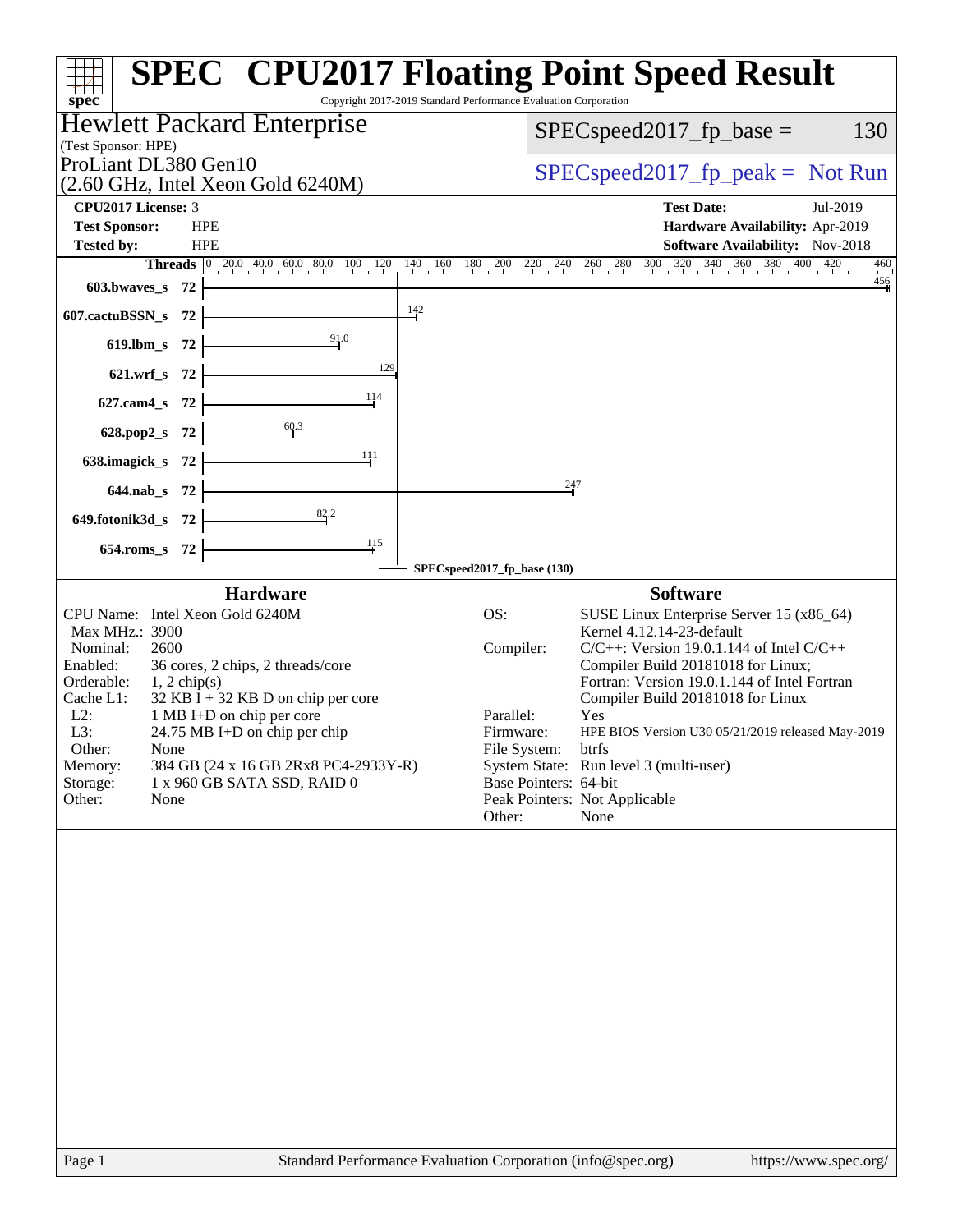| Copyright 2017-2019 Standard Performance Evaluation Corporation<br>$spec^*$                                                                                                                                                                                                                                                                                                                                                  | <b>SPEC<sup>®</sup> CPU2017 Floating Point Speed Result</b>                                                                                                                                                                                                                                                                                                                                                                                                                                                |
|------------------------------------------------------------------------------------------------------------------------------------------------------------------------------------------------------------------------------------------------------------------------------------------------------------------------------------------------------------------------------------------------------------------------------|------------------------------------------------------------------------------------------------------------------------------------------------------------------------------------------------------------------------------------------------------------------------------------------------------------------------------------------------------------------------------------------------------------------------------------------------------------------------------------------------------------|
| Hewlett Packard Enterprise<br>(Test Sponsor: HPE)                                                                                                                                                                                                                                                                                                                                                                            | 130<br>$SPEC speed2017_fp\_base =$                                                                                                                                                                                                                                                                                                                                                                                                                                                                         |
| ProLiant DL380 Gen10<br>(2.60 GHz, Intel Xeon Gold 6240M)                                                                                                                                                                                                                                                                                                                                                                    | $SPEC speed2017fr peak = Not Run$                                                                                                                                                                                                                                                                                                                                                                                                                                                                          |
| CPU2017 License: 3                                                                                                                                                                                                                                                                                                                                                                                                           | <b>Test Date:</b><br>Jul-2019                                                                                                                                                                                                                                                                                                                                                                                                                                                                              |
| <b>Test Sponsor:</b><br><b>HPE</b>                                                                                                                                                                                                                                                                                                                                                                                           | Hardware Availability: Apr-2019                                                                                                                                                                                                                                                                                                                                                                                                                                                                            |
| Tested by:<br><b>HPE</b><br><b>Threads</b> $\begin{bmatrix} 0 & 20.0 & 40.0 & 60.0 & 80.0 & 100 & 120 \end{bmatrix}$<br>$140 \t160 \t180$                                                                                                                                                                                                                                                                                    | <b>Software Availability:</b> Nov-2018<br>$200 \quad 210 \quad 240 \quad 260 \quad 280 \quad 300 \quad 320 \quad 340 \quad 360 \quad 380 \quad 400 \quad 420$<br>460                                                                                                                                                                                                                                                                                                                                       |
| 603.bwaves_s<br>-72                                                                                                                                                                                                                                                                                                                                                                                                          | 456                                                                                                                                                                                                                                                                                                                                                                                                                                                                                                        |
| $\frac{142}{1}$<br>607.cactuBSSN_s<br>-72                                                                                                                                                                                                                                                                                                                                                                                    |                                                                                                                                                                                                                                                                                                                                                                                                                                                                                                            |
| 91.0<br>$619$ .lbm_s<br>72                                                                                                                                                                                                                                                                                                                                                                                                   |                                                                                                                                                                                                                                                                                                                                                                                                                                                                                                            |
| 129<br>$621.wrf$ <sub>S</sub><br>-72                                                                                                                                                                                                                                                                                                                                                                                         |                                                                                                                                                                                                                                                                                                                                                                                                                                                                                                            |
| 114<br>-72<br>$627$ .cam $4 \text{ s}$                                                                                                                                                                                                                                                                                                                                                                                       |                                                                                                                                                                                                                                                                                                                                                                                                                                                                                                            |
| 60.3<br>628.pop2_s<br>72                                                                                                                                                                                                                                                                                                                                                                                                     |                                                                                                                                                                                                                                                                                                                                                                                                                                                                                                            |
| 111<br>638.imagick_s 72                                                                                                                                                                                                                                                                                                                                                                                                      |                                                                                                                                                                                                                                                                                                                                                                                                                                                                                                            |
| $644$ .nab_s<br>- 72                                                                                                                                                                                                                                                                                                                                                                                                         | 247                                                                                                                                                                                                                                                                                                                                                                                                                                                                                                        |
| 82.2<br>649.fotonik3d_s 72                                                                                                                                                                                                                                                                                                                                                                                                   |                                                                                                                                                                                                                                                                                                                                                                                                                                                                                                            |
| 115<br>$654$ .roms_s<br>-72                                                                                                                                                                                                                                                                                                                                                                                                  |                                                                                                                                                                                                                                                                                                                                                                                                                                                                                                            |
| <b>Hardware</b>                                                                                                                                                                                                                                                                                                                                                                                                              | SPECspeed2017_fp_base (130)<br><b>Software</b>                                                                                                                                                                                                                                                                                                                                                                                                                                                             |
| CPU Name: Intel Xeon Gold 6240M<br>Max MHz.: 3900<br>Nominal:<br>2600<br>Enabled:<br>36 cores, 2 chips, 2 threads/core<br>Orderable:<br>$1, 2$ chip(s)<br>Cache L1:<br>$32$ KB I + 32 KB D on chip per core<br>$L2$ :<br>1 MB I+D on chip per core<br>L3:<br>24.75 MB I+D on chip per chip<br>Other:<br>None<br>Memory:<br>384 GB (24 x 16 GB 2Rx8 PC4-2933Y-R)<br>Storage:<br>1 x 960 GB SATA SSD, RAID 0<br>Other:<br>None | SUSE Linux Enterprise Server 15 (x86_64)<br>OS:<br>Kernel 4.12.14-23-default<br>Compiler:<br>$C/C++$ : Version 19.0.1.144 of Intel $C/C++$<br>Compiler Build 20181018 for Linux;<br>Fortran: Version 19.0.1.144 of Intel Fortran<br>Compiler Build 20181018 for Linux<br>Parallel:<br>Yes<br>HPE BIOS Version U30 05/21/2019 released May-2019<br>Firmware:<br>File System:<br>btrfs<br>System State: Run level 3 (multi-user)<br>Base Pointers: 64-bit<br>Peak Pointers: Not Applicable<br>None<br>Other: |
|                                                                                                                                                                                                                                                                                                                                                                                                                              |                                                                                                                                                                                                                                                                                                                                                                                                                                                                                                            |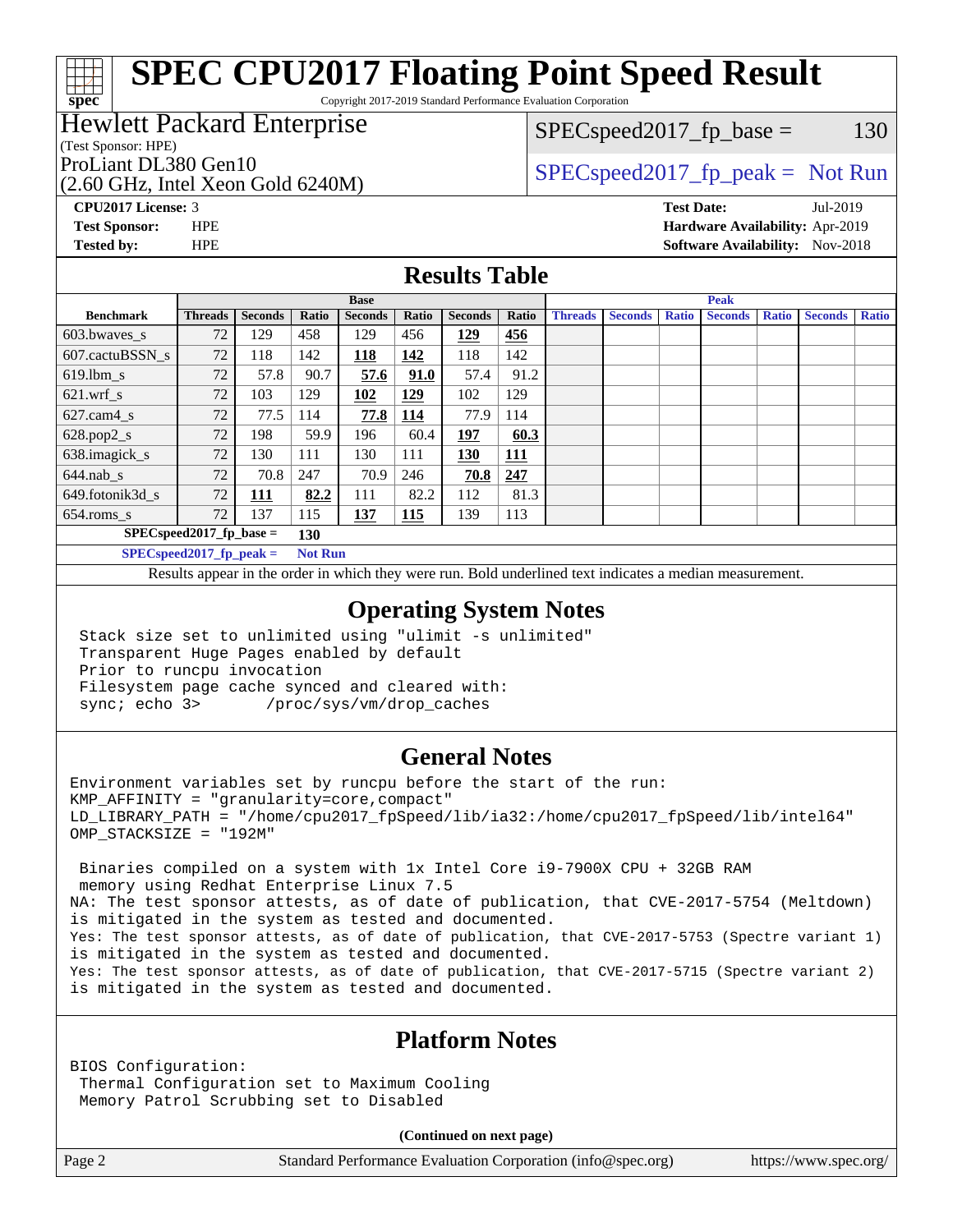Copyright 2017-2019 Standard Performance Evaluation Corporation

# Hewlett Packard Enterprise

(Test Sponsor: HPE)

**[spec](http://www.spec.org/)**

(2.60 GHz, Intel Xeon Gold 6240M)

 $SPEC speed2017_fp\_base = 130$ 

# ProLiant DL380 Gen10  $SPEC speed2017$  fp\_peak = Not Run

**[CPU2017 License:](http://www.spec.org/auto/cpu2017/Docs/result-fields.html#CPU2017License)** 3 **[Test Date:](http://www.spec.org/auto/cpu2017/Docs/result-fields.html#TestDate)** Jul-2019 **[Test Sponsor:](http://www.spec.org/auto/cpu2017/Docs/result-fields.html#TestSponsor)** HPE **[Hardware Availability:](http://www.spec.org/auto/cpu2017/Docs/result-fields.html#HardwareAvailability)** Apr-2019 **[Tested by:](http://www.spec.org/auto/cpu2017/Docs/result-fields.html#Testedby)** HPE **[Software Availability:](http://www.spec.org/auto/cpu2017/Docs/result-fields.html#SoftwareAvailability)** Nov-2018

### **[Results Table](http://www.spec.org/auto/cpu2017/Docs/result-fields.html#ResultsTable)**

|                                              | <b>Base</b>    |                |       |                | <b>Peak</b> |                |       |                |                |              |                |              |                |              |
|----------------------------------------------|----------------|----------------|-------|----------------|-------------|----------------|-------|----------------|----------------|--------------|----------------|--------------|----------------|--------------|
| <b>Benchmark</b>                             | <b>Threads</b> | <b>Seconds</b> | Ratio | <b>Seconds</b> | Ratio       | <b>Seconds</b> | Ratio | <b>Threads</b> | <b>Seconds</b> | <b>Ratio</b> | <b>Seconds</b> | <b>Ratio</b> | <b>Seconds</b> | <b>Ratio</b> |
| 603.bwayes_s                                 | 72             | 129            | 458   | 129            | 456         | 129            | 456   |                |                |              |                |              |                |              |
| 607.cactuBSSN s                              | 72             | 118            | 142   | 118            | 142         | 118            | 142   |                |                |              |                |              |                |              |
| $619.$ lbm_s                                 | 72             | 57.8           | 90.7  | 57.6           | 91.0        | 57.4           | 91.2  |                |                |              |                |              |                |              |
| $621.wrf$ s                                  | 72             | 103            | 129   | 102            | 129         | 102            | 129   |                |                |              |                |              |                |              |
| $627$ .cam $4 \text{ s}$                     | 72             | 77.5           | 114   | 77.8           | <u>114</u>  | 77.9           | 114   |                |                |              |                |              |                |              |
| $628.pop2_s$                                 | 72             | 198            | 59.9  | 196            | 60.4        | 197            | 60.3  |                |                |              |                |              |                |              |
| 638.imagick_s                                | 72             | 130            | 111   | 130            | 111         | 130            | 111   |                |                |              |                |              |                |              |
| $644$ .nab s                                 | 72             | 70.8           | 247   | 70.9           | 246         | 70.8           | 247   |                |                |              |                |              |                |              |
| 649.fotonik3d s                              | 72             | <u>111</u>     | 82.2  | 111            | 82.2        | 112            | 81.3  |                |                |              |                |              |                |              |
| $654$ .roms s                                | 72             | 137            | 115   | <u>137</u>     | 115         | 139            | 113   |                |                |              |                |              |                |              |
| $SPEC speed2017$ fp base =<br>130            |                |                |       |                |             |                |       |                |                |              |                |              |                |              |
| SPECspeed 2017 fp peak $=$<br><b>Not Run</b> |                |                |       |                |             |                |       |                |                |              |                |              |                |              |

Results appear in the [order in which they were run.](http://www.spec.org/auto/cpu2017/Docs/result-fields.html#RunOrder) Bold underlined text [indicates a median measurement](http://www.spec.org/auto/cpu2017/Docs/result-fields.html#Median).

### **[Operating System Notes](http://www.spec.org/auto/cpu2017/Docs/result-fields.html#OperatingSystemNotes)**

 Stack size set to unlimited using "ulimit -s unlimited" Transparent Huge Pages enabled by default Prior to runcpu invocation Filesystem page cache synced and cleared with: sync; echo 3> /proc/sys/vm/drop\_caches

### **[General Notes](http://www.spec.org/auto/cpu2017/Docs/result-fields.html#GeneralNotes)**

Environment variables set by runcpu before the start of the run: KMP\_AFFINITY = "granularity=core,compact" LD\_LIBRARY\_PATH = "/home/cpu2017\_fpSpeed/lib/ia32:/home/cpu2017\_fpSpeed/lib/intel64" OMP\_STACKSIZE = "192M"

 Binaries compiled on a system with 1x Intel Core i9-7900X CPU + 32GB RAM memory using Redhat Enterprise Linux 7.5 NA: The test sponsor attests, as of date of publication, that CVE-2017-5754 (Meltdown) is mitigated in the system as tested and documented. Yes: The test sponsor attests, as of date of publication, that CVE-2017-5753 (Spectre variant 1) is mitigated in the system as tested and documented. Yes: The test sponsor attests, as of date of publication, that CVE-2017-5715 (Spectre variant 2) is mitigated in the system as tested and documented.

### **[Platform Notes](http://www.spec.org/auto/cpu2017/Docs/result-fields.html#PlatformNotes)**

BIOS Configuration: Thermal Configuration set to Maximum Cooling Memory Patrol Scrubbing set to Disabled

**(Continued on next page)**

Page 2 Standard Performance Evaluation Corporation [\(info@spec.org\)](mailto:info@spec.org) <https://www.spec.org/>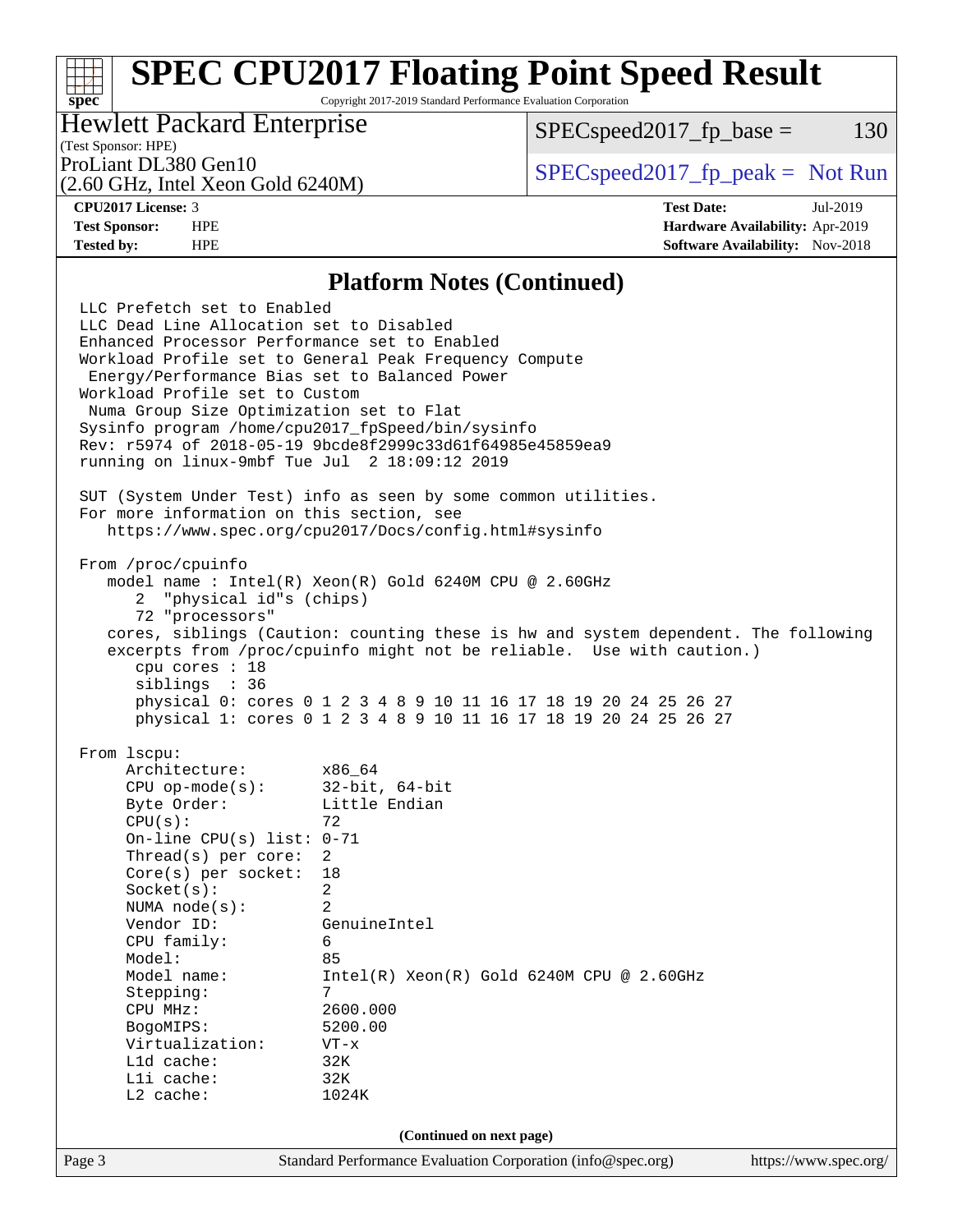Copyright 2017-2019 Standard Performance Evaluation Corporation

## Hewlett Packard Enterprise

 $SPEC speed2017_fp\_base = 130$ 

# (Test Sponsor: HPE)

(2.60 GHz, Intel Xeon Gold 6240M)

ProLiant DL380 Gen10  $SPEC speed2017$  [p\_peak = Not Run

**[spec](http://www.spec.org/)**

**[CPU2017 License:](http://www.spec.org/auto/cpu2017/Docs/result-fields.html#CPU2017License)** 3 **[Test Date:](http://www.spec.org/auto/cpu2017/Docs/result-fields.html#TestDate)** Jul-2019 **[Test Sponsor:](http://www.spec.org/auto/cpu2017/Docs/result-fields.html#TestSponsor)** HPE **[Hardware Availability:](http://www.spec.org/auto/cpu2017/Docs/result-fields.html#HardwareAvailability)** Apr-2019 **[Tested by:](http://www.spec.org/auto/cpu2017/Docs/result-fields.html#Testedby)** HPE **[Software Availability:](http://www.spec.org/auto/cpu2017/Docs/result-fields.html#SoftwareAvailability)** Nov-2018

### **[Platform Notes \(Continued\)](http://www.spec.org/auto/cpu2017/Docs/result-fields.html#PlatformNotes)**

Page 3 Standard Performance Evaluation Corporation [\(info@spec.org\)](mailto:info@spec.org) <https://www.spec.org/> LLC Prefetch set to Enabled LLC Dead Line Allocation set to Disabled Enhanced Processor Performance set to Enabled Workload Profile set to General Peak Frequency Compute Energy/Performance Bias set to Balanced Power Workload Profile set to Custom Numa Group Size Optimization set to Flat Sysinfo program /home/cpu2017\_fpSpeed/bin/sysinfo Rev: r5974 of 2018-05-19 9bcde8f2999c33d61f64985e45859ea9 running on linux-9mbf Tue Jul 2 18:09:12 2019 SUT (System Under Test) info as seen by some common utilities. For more information on this section, see <https://www.spec.org/cpu2017/Docs/config.html#sysinfo> From /proc/cpuinfo model name : Intel(R) Xeon(R) Gold 6240M CPU @ 2.60GHz 2 "physical id"s (chips) 72 "processors" cores, siblings (Caution: counting these is hw and system dependent. The following excerpts from /proc/cpuinfo might not be reliable. Use with caution.) cpu cores : 18 siblings : 36 physical 0: cores 0 1 2 3 4 8 9 10 11 16 17 18 19 20 24 25 26 27 physical 1: cores 0 1 2 3 4 8 9 10 11 16 17 18 19 20 24 25 26 27 From lscpu: Architecture: x86\_64<br>CPU op-mode(s): 32-bit, 64-bit CPU op-mode $(s)$ : Byte Order: Little Endian  $CPU(s):$  72 On-line CPU(s) list: 0-71 Thread(s) per core: 2 Core(s) per socket: 18 Socket(s): 2 NUMA node(s): 2 Vendor ID: GenuineIntel CPU family: 6 Model: 85 Model name: Intel(R) Xeon(R) Gold 6240M CPU @ 2.60GHz Stepping: 7 CPU MHz: 2600.000 BogoMIPS: 5200.00 Virtualization: VT-x L1d cache: 32K L1i cache: 32K L2 cache: 1024K **(Continued on next page)**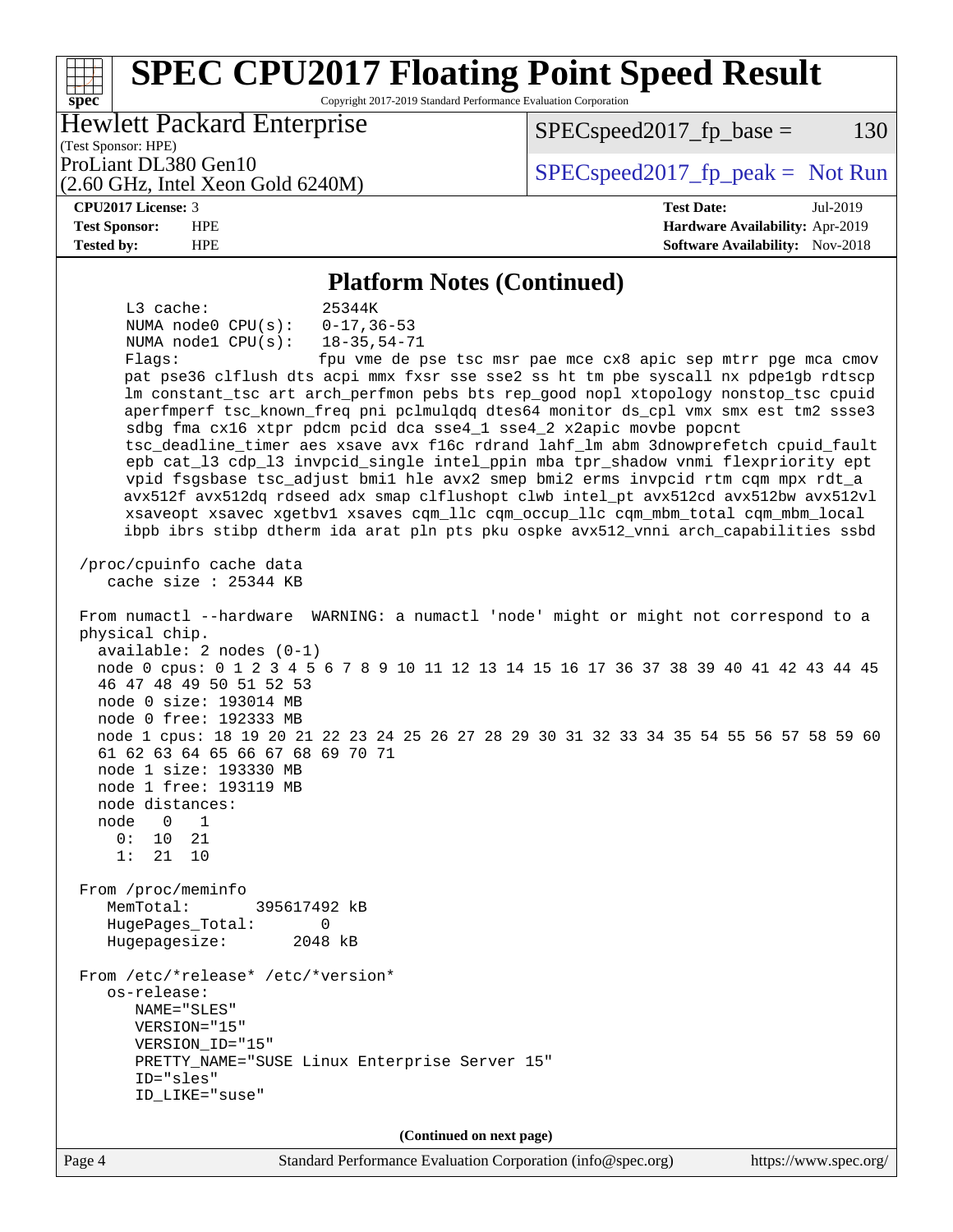### **[spec](http://www.spec.org/) [SPEC CPU2017 Floating Point Speed Result](http://www.spec.org/auto/cpu2017/Docs/result-fields.html#SPECCPU2017FloatingPointSpeedResult)** Copyright 2017-2019 Standard Performance Evaluation Corporation (Test Sponsor: HPE) Hewlett Packard Enterprise (2.60 GHz, Intel Xeon Gold 6240M) ProLiant DL380 Gen10  $SPEC speed2017$  [p\_peak = Not Run  $SPEC speed2017_fp\_base = 130$ **[CPU2017 License:](http://www.spec.org/auto/cpu2017/Docs/result-fields.html#CPU2017License)** 3 **[Test Date:](http://www.spec.org/auto/cpu2017/Docs/result-fields.html#TestDate)** Jul-2019 **[Test Sponsor:](http://www.spec.org/auto/cpu2017/Docs/result-fields.html#TestSponsor)** HPE **[Hardware Availability:](http://www.spec.org/auto/cpu2017/Docs/result-fields.html#HardwareAvailability)** Apr-2019 **[Tested by:](http://www.spec.org/auto/cpu2017/Docs/result-fields.html#Testedby)** HPE **[Software Availability:](http://www.spec.org/auto/cpu2017/Docs/result-fields.html#SoftwareAvailability)** Nov-2018 **[Platform Notes \(Continued\)](http://www.spec.org/auto/cpu2017/Docs/result-fields.html#PlatformNotes)** L3 cache: 25344K NUMA node0 CPU(s): 0-17,36-53 NUMA node1 CPU(s): 18-35,54-71 Flags: fpu vme de pse tsc msr pae mce cx8 apic sep mtrr pge mca cmov pat pse36 clflush dts acpi mmx fxsr sse sse2 ss ht tm pbe syscall nx pdpe1gb rdtscp lm constant\_tsc art arch\_perfmon pebs bts rep\_good nopl xtopology nonstop\_tsc cpuid

 sdbg fma cx16 xtpr pdcm pcid dca sse4\_1 sse4\_2 x2apic movbe popcnt tsc\_deadline\_timer aes xsave avx f16c rdrand lahf\_lm abm 3dnowprefetch cpuid\_fault epb cat\_l3 cdp\_l3 invpcid\_single intel\_ppin mba tpr\_shadow vnmi flexpriority ept vpid fsgsbase tsc\_adjust bmi1 hle avx2 smep bmi2 erms invpcid rtm cqm mpx rdt\_a avx512f avx512dq rdseed adx smap clflushopt clwb intel\_pt avx512cd avx512bw avx512vl xsaveopt xsavec xgetbv1 xsaves cqm\_llc cqm\_occup\_llc cqm\_mbm\_total cqm\_mbm\_local ibpb ibrs stibp dtherm ida arat pln pts pku ospke avx512\_vnni arch\_capabilities ssbd

aperfmperf tsc\_known\_freq pni pclmulqdq dtes64 monitor ds\_cpl vmx smx est tm2 ssse3

 /proc/cpuinfo cache data cache size : 25344 KB

 From numactl --hardware WARNING: a numactl 'node' might or might not correspond to a physical chip. available: 2 nodes (0-1) node 0 cpus: 0 1 2 3 4 5 6 7 8 9 10 11 12 13 14 15 16 17 36 37 38 39 40 41 42 43 44 45 46 47 48 49 50 51 52 53 node 0 size: 193014 MB node 0 free: 192333 MB node 1 cpus: 18 19 20 21 22 23 24 25 26 27 28 29 30 31 32 33 34 35 54 55 56 57 58 59 60 61 62 63 64 65 66 67 68 69 70 71 node 1 size: 193330 MB node 1 free: 193119 MB node distances: node 0 1  $0: 10 21$  1: 21 10 From /proc/meminfo MemTotal: 395617492 kB HugePages\_Total: 0 Hugepagesize: 2048 kB From /etc/\*release\* /etc/\*version\* os-release: NAME="SLES" VERSION="15"

 VERSION\_ID="15" PRETTY\_NAME="SUSE Linux Enterprise Server 15" ID="sles" ID\_LIKE="suse"

**(Continued on next page)**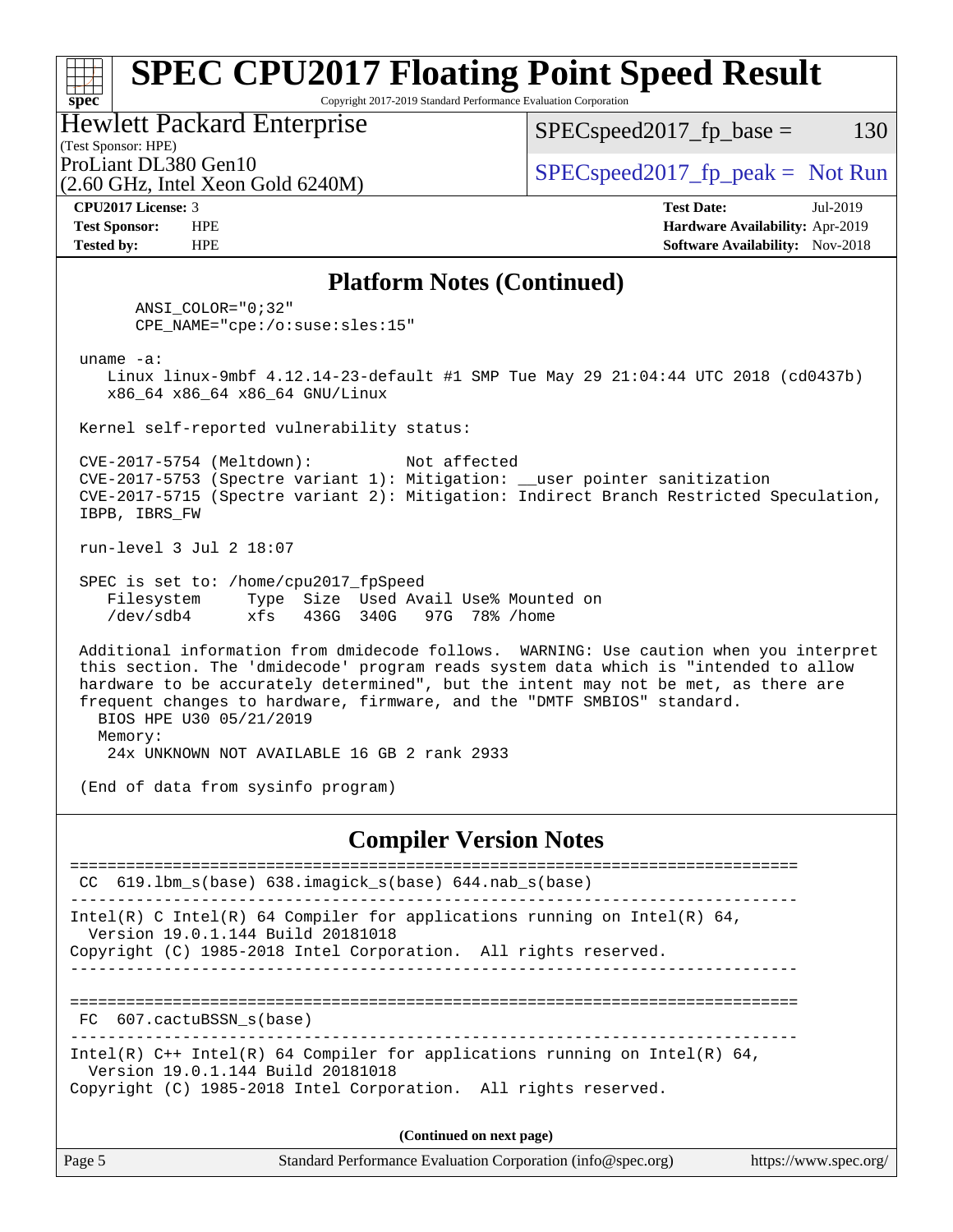### **[spec](http://www.spec.org/) [SPEC CPU2017 Floating Point Speed Result](http://www.spec.org/auto/cpu2017/Docs/result-fields.html#SPECCPU2017FloatingPointSpeedResult)** Copyright 2017-2019 Standard Performance Evaluation Corporation (Test Sponsor: HPE) Hewlett Packard Enterprise (2.60 GHz, Intel Xeon Gold 6240M) ProLiant DL380 Gen10  $SPEC speed2017_f$   $p\_peak = Not Run$  $SPEC speed2017_fp\_base = 130$ **[CPU2017 License:](http://www.spec.org/auto/cpu2017/Docs/result-fields.html#CPU2017License)** 3 **[Test Date:](http://www.spec.org/auto/cpu2017/Docs/result-fields.html#TestDate)** Jul-2019

**[Test Sponsor:](http://www.spec.org/auto/cpu2017/Docs/result-fields.html#TestSponsor)** HPE **[Hardware Availability:](http://www.spec.org/auto/cpu2017/Docs/result-fields.html#HardwareAvailability)** Apr-2019

**[Tested by:](http://www.spec.org/auto/cpu2017/Docs/result-fields.html#Testedby)** HPE **[Software Availability:](http://www.spec.org/auto/cpu2017/Docs/result-fields.html#SoftwareAvailability)** Nov-2018

**[Platform Notes \(Continued\)](http://www.spec.org/auto/cpu2017/Docs/result-fields.html#PlatformNotes)**

 ANSI\_COLOR="0;32" CPE\_NAME="cpe:/o:suse:sles:15"

uname -a:

 Linux linux-9mbf 4.12.14-23-default #1 SMP Tue May 29 21:04:44 UTC 2018 (cd0437b) x86\_64 x86\_64 x86\_64 GNU/Linux

Kernel self-reported vulnerability status:

 CVE-2017-5754 (Meltdown): Not affected CVE-2017-5753 (Spectre variant 1): Mitigation: \_\_user pointer sanitization CVE-2017-5715 (Spectre variant 2): Mitigation: Indirect Branch Restricted Speculation, IBPB, IBRS\_FW

run-level 3 Jul 2 18:07

 SPEC is set to: /home/cpu2017\_fpSpeed Filesystem Type Size Used Avail Use% Mounted on /dev/sdb4 xfs 436G 340G 97G 78% /home

 Additional information from dmidecode follows. WARNING: Use caution when you interpret this section. The 'dmidecode' program reads system data which is "intended to allow hardware to be accurately determined", but the intent may not be met, as there are frequent changes to hardware, firmware, and the "DMTF SMBIOS" standard. BIOS HPE U30 05/21/2019 Memory:

24x UNKNOWN NOT AVAILABLE 16 GB 2 rank 2933

(End of data from sysinfo program)

### **[Compiler Version Notes](http://www.spec.org/auto/cpu2017/Docs/result-fields.html#CompilerVersionNotes)**

============================================================================== CC 619.lbm\_s(base) 638.imagick\_s(base) 644.nab\_s(base) ------------------------------------------------------------------------------ Intel(R) C Intel(R) 64 Compiler for applications running on Intel(R)  $64$ , Version 19.0.1.144 Build 20181018 Copyright (C) 1985-2018 Intel Corporation. All rights reserved. ------------------------------------------------------------------------------ ============================================================================== FC 607.cactuBSSN\_s(base) ------------------------------------------------------------------------------ Intel(R) C++ Intel(R) 64 Compiler for applications running on Intel(R) 64, Version 19.0.1.144 Build 20181018 Copyright (C) 1985-2018 Intel Corporation. All rights reserved. **(Continued on next page)**

| Page 5 | Standard Performance Evaluation Corporation (info@spec.org) | https://www.spec.org/ |
|--------|-------------------------------------------------------------|-----------------------|
|        |                                                             |                       |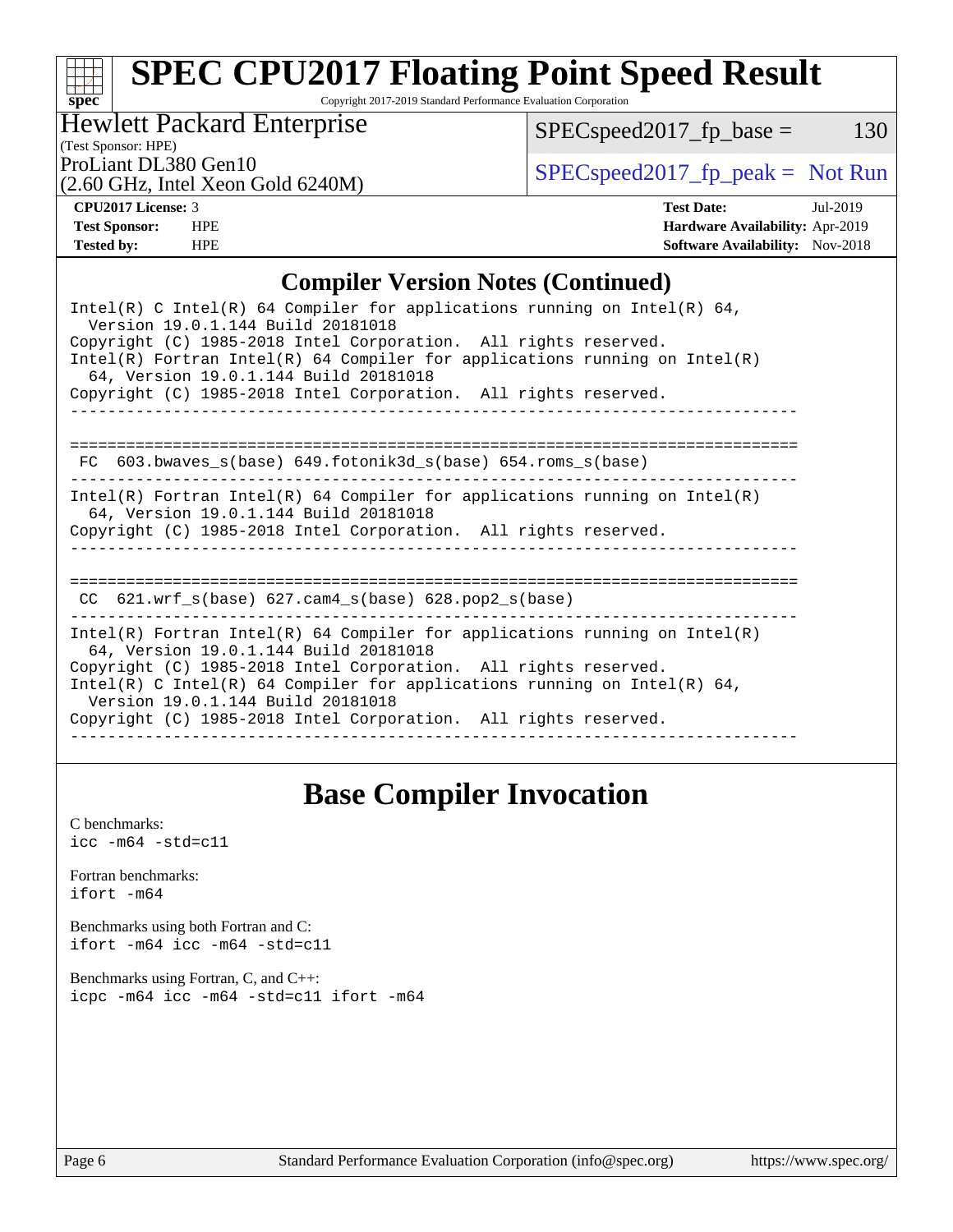Copyright 2017-2019 Standard Performance Evaluation Corporation

Hewlett Packard Enterprise

 $SPEC speed2017_fp\_base = 130$ 

(Test Sponsor: HPE)

(2.60 GHz, Intel Xeon Gold 6240M)

ProLiant DL380 Gen10<br>  $\begin{array}{r} \text{SPEC speed2017\_fp\_peak = Not Run} \\ \text{SPEC speed2017\_fp\_peak = Not Run} \end{array}$ 

**[spec](http://www.spec.org/)**

**[CPU2017 License:](http://www.spec.org/auto/cpu2017/Docs/result-fields.html#CPU2017License)** 3 **[Test Date:](http://www.spec.org/auto/cpu2017/Docs/result-fields.html#TestDate)** Jul-2019 **[Test Sponsor:](http://www.spec.org/auto/cpu2017/Docs/result-fields.html#TestSponsor)** HPE **[Hardware Availability:](http://www.spec.org/auto/cpu2017/Docs/result-fields.html#HardwareAvailability)** Apr-2019 **[Tested by:](http://www.spec.org/auto/cpu2017/Docs/result-fields.html#Testedby)** HPE **HPE [Software Availability:](http://www.spec.org/auto/cpu2017/Docs/result-fields.html#SoftwareAvailability)** Nov-2018

### **[Compiler Version Notes \(Continued\)](http://www.spec.org/auto/cpu2017/Docs/result-fields.html#CompilerVersionNotes)**

| Intel(R) C Intel(R) 64 Compiler for applications running on Intel(R) 64,<br>Version 19.0.1.144 Build 20181018<br>Copyright (C) 1985-2018 Intel Corporation. All rights reserved.<br>Intel(R) Fortran Intel(R) 64 Compiler for applications running on Intel(R)<br>64, Version 19.0.1.144 Build 20181018<br>Copyright (C) 1985-2018 Intel Corporation. All rights reserved. |
|----------------------------------------------------------------------------------------------------------------------------------------------------------------------------------------------------------------------------------------------------------------------------------------------------------------------------------------------------------------------------|
| FC $603.bwaves$ s(base) $649.fotonik3d$ s(base) $654.roms$ s(base)                                                                                                                                                                                                                                                                                                         |
| Intel(R) Fortran Intel(R) 64 Compiler for applications running on Intel(R)<br>64, Version 19.0.1.144 Build 20181018<br>Copyright (C) 1985-2018 Intel Corporation. All rights reserved.                                                                                                                                                                                     |
| ----------------------------<br>CC $621.$ wrf $s(base)$ $627.$ cam4 $s(base)$ $628.$ pop2 $s(base)$                                                                                                                                                                                                                                                                        |
| Intel(R) Fortran Intel(R) 64 Compiler for applications running on Intel(R)<br>64, Version 19.0.1.144 Build 20181018<br>Copyright (C) 1985-2018 Intel Corporation. All rights reserved.<br>Intel(R) C Intel(R) 64 Compiler for applications running on Intel(R) 64,<br>Version 19.0.1.144 Build 20181018<br>Copyright (C) 1985-2018 Intel Corporation. All rights reserved. |

# **[Base Compiler Invocation](http://www.spec.org/auto/cpu2017/Docs/result-fields.html#BaseCompilerInvocation)**

[C benchmarks](http://www.spec.org/auto/cpu2017/Docs/result-fields.html#Cbenchmarks):  $\text{icc}$  -m64 -std=c11 [Fortran benchmarks](http://www.spec.org/auto/cpu2017/Docs/result-fields.html#Fortranbenchmarks): [ifort -m64](http://www.spec.org/cpu2017/results/res2019q3/cpu2017-20190805-16557.flags.html#user_FCbase_intel_ifort_64bit_24f2bb282fbaeffd6157abe4f878425411749daecae9a33200eee2bee2fe76f3b89351d69a8130dd5949958ce389cf37ff59a95e7a40d588e8d3a57e0c3fd751) [Benchmarks using both Fortran and C](http://www.spec.org/auto/cpu2017/Docs/result-fields.html#BenchmarksusingbothFortranandC): [ifort -m64](http://www.spec.org/cpu2017/results/res2019q3/cpu2017-20190805-16557.flags.html#user_CC_FCbase_intel_ifort_64bit_24f2bb282fbaeffd6157abe4f878425411749daecae9a33200eee2bee2fe76f3b89351d69a8130dd5949958ce389cf37ff59a95e7a40d588e8d3a57e0c3fd751) [icc -m64 -std=c11](http://www.spec.org/cpu2017/results/res2019q3/cpu2017-20190805-16557.flags.html#user_CC_FCbase_intel_icc_64bit_c11_33ee0cdaae7deeeab2a9725423ba97205ce30f63b9926c2519791662299b76a0318f32ddfffdc46587804de3178b4f9328c46fa7c2b0cd779d7a61945c91cd35) [Benchmarks using Fortran, C, and C++:](http://www.spec.org/auto/cpu2017/Docs/result-fields.html#BenchmarksusingFortranCandCXX) [icpc -m64](http://www.spec.org/cpu2017/results/res2019q3/cpu2017-20190805-16557.flags.html#user_CC_CXX_FCbase_intel_icpc_64bit_4ecb2543ae3f1412ef961e0650ca070fec7b7afdcd6ed48761b84423119d1bf6bdf5cad15b44d48e7256388bc77273b966e5eb805aefd121eb22e9299b2ec9d9) [icc -m64 -std=c11](http://www.spec.org/cpu2017/results/res2019q3/cpu2017-20190805-16557.flags.html#user_CC_CXX_FCbase_intel_icc_64bit_c11_33ee0cdaae7deeeab2a9725423ba97205ce30f63b9926c2519791662299b76a0318f32ddfffdc46587804de3178b4f9328c46fa7c2b0cd779d7a61945c91cd35) [ifort -m64](http://www.spec.org/cpu2017/results/res2019q3/cpu2017-20190805-16557.flags.html#user_CC_CXX_FCbase_intel_ifort_64bit_24f2bb282fbaeffd6157abe4f878425411749daecae9a33200eee2bee2fe76f3b89351d69a8130dd5949958ce389cf37ff59a95e7a40d588e8d3a57e0c3fd751)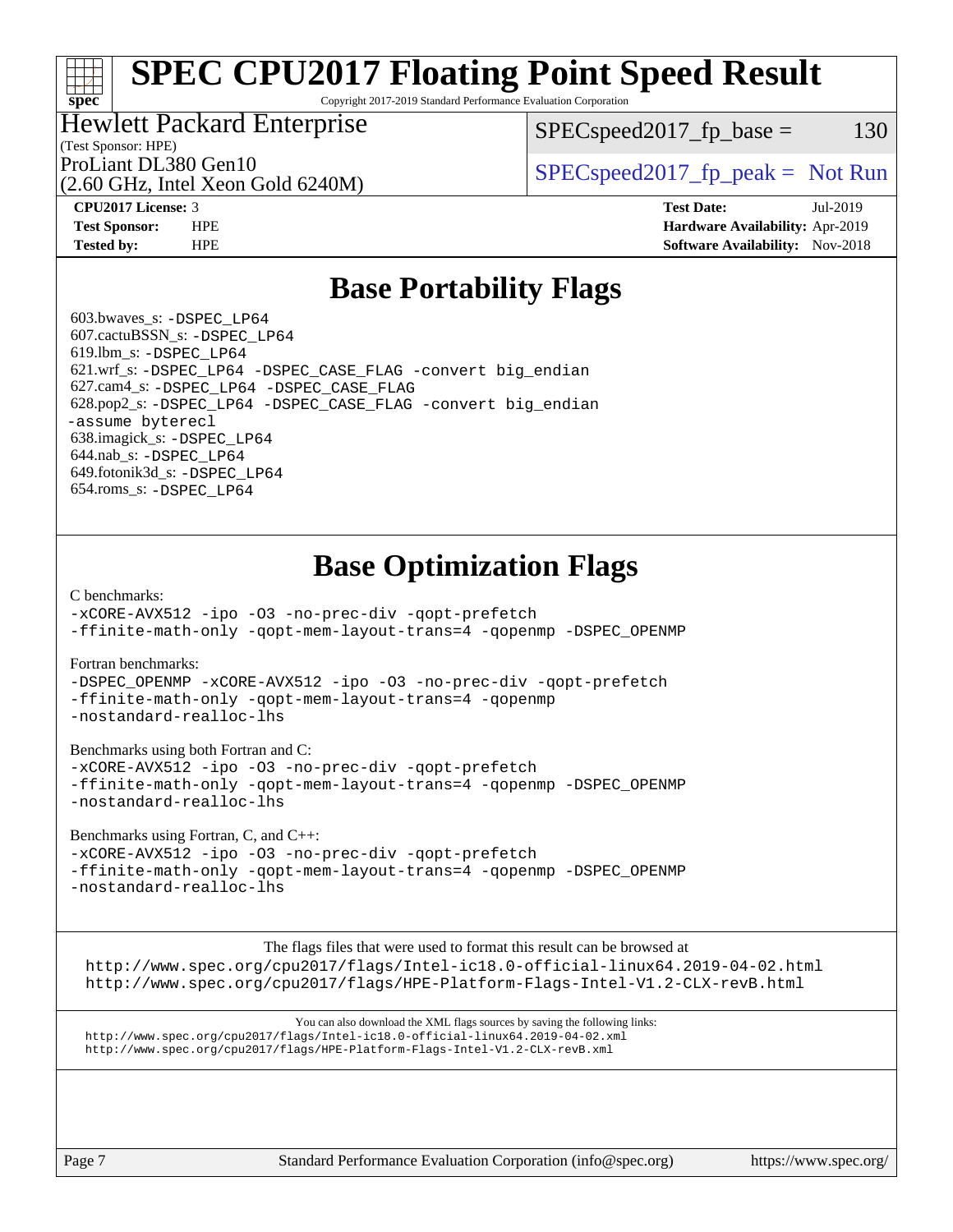Copyright 2017-2019 Standard Performance Evaluation Corporation

## Hewlett Packard Enterprise

 $SPEC speed2017_fp\_base = 130$ 

# (Test Sponsor: HPE)

(2.60 GHz, Intel Xeon Gold 6240M)

ProLiant DL380 Gen10  $SPEC speed2017$  [p\_peak = Not Run

**[spec](http://www.spec.org/)**

**[CPU2017 License:](http://www.spec.org/auto/cpu2017/Docs/result-fields.html#CPU2017License)** 3 **[Test Date:](http://www.spec.org/auto/cpu2017/Docs/result-fields.html#TestDate)** Jul-2019 **[Test Sponsor:](http://www.spec.org/auto/cpu2017/Docs/result-fields.html#TestSponsor)** HPE **[Hardware Availability:](http://www.spec.org/auto/cpu2017/Docs/result-fields.html#HardwareAvailability)** Apr-2019 **[Tested by:](http://www.spec.org/auto/cpu2017/Docs/result-fields.html#Testedby)** HPE **[Software Availability:](http://www.spec.org/auto/cpu2017/Docs/result-fields.html#SoftwareAvailability)** Nov-2018

# **[Base Portability Flags](http://www.spec.org/auto/cpu2017/Docs/result-fields.html#BasePortabilityFlags)**

 603.bwaves\_s: [-DSPEC\\_LP64](http://www.spec.org/cpu2017/results/res2019q3/cpu2017-20190805-16557.flags.html#suite_basePORTABILITY603_bwaves_s_DSPEC_LP64) 607.cactuBSSN\_s: [-DSPEC\\_LP64](http://www.spec.org/cpu2017/results/res2019q3/cpu2017-20190805-16557.flags.html#suite_basePORTABILITY607_cactuBSSN_s_DSPEC_LP64) 619.lbm\_s: [-DSPEC\\_LP64](http://www.spec.org/cpu2017/results/res2019q3/cpu2017-20190805-16557.flags.html#suite_basePORTABILITY619_lbm_s_DSPEC_LP64) 621.wrf\_s: [-DSPEC\\_LP64](http://www.spec.org/cpu2017/results/res2019q3/cpu2017-20190805-16557.flags.html#suite_basePORTABILITY621_wrf_s_DSPEC_LP64) [-DSPEC\\_CASE\\_FLAG](http://www.spec.org/cpu2017/results/res2019q3/cpu2017-20190805-16557.flags.html#b621.wrf_s_baseCPORTABILITY_DSPEC_CASE_FLAG) [-convert big\\_endian](http://www.spec.org/cpu2017/results/res2019q3/cpu2017-20190805-16557.flags.html#user_baseFPORTABILITY621_wrf_s_convert_big_endian_c3194028bc08c63ac5d04de18c48ce6d347e4e562e8892b8bdbdc0214820426deb8554edfa529a3fb25a586e65a3d812c835984020483e7e73212c4d31a38223) 627.cam4\_s: [-DSPEC\\_LP64](http://www.spec.org/cpu2017/results/res2019q3/cpu2017-20190805-16557.flags.html#suite_basePORTABILITY627_cam4_s_DSPEC_LP64) [-DSPEC\\_CASE\\_FLAG](http://www.spec.org/cpu2017/results/res2019q3/cpu2017-20190805-16557.flags.html#b627.cam4_s_baseCPORTABILITY_DSPEC_CASE_FLAG) 628.pop2\_s: [-DSPEC\\_LP64](http://www.spec.org/cpu2017/results/res2019q3/cpu2017-20190805-16557.flags.html#suite_basePORTABILITY628_pop2_s_DSPEC_LP64) [-DSPEC\\_CASE\\_FLAG](http://www.spec.org/cpu2017/results/res2019q3/cpu2017-20190805-16557.flags.html#b628.pop2_s_baseCPORTABILITY_DSPEC_CASE_FLAG) [-convert big\\_endian](http://www.spec.org/cpu2017/results/res2019q3/cpu2017-20190805-16557.flags.html#user_baseFPORTABILITY628_pop2_s_convert_big_endian_c3194028bc08c63ac5d04de18c48ce6d347e4e562e8892b8bdbdc0214820426deb8554edfa529a3fb25a586e65a3d812c835984020483e7e73212c4d31a38223) [-assume byterecl](http://www.spec.org/cpu2017/results/res2019q3/cpu2017-20190805-16557.flags.html#user_baseFPORTABILITY628_pop2_s_assume_byterecl_7e47d18b9513cf18525430bbf0f2177aa9bf368bc7a059c09b2c06a34b53bd3447c950d3f8d6c70e3faf3a05c8557d66a5798b567902e8849adc142926523472) 638.imagick\_s: [-DSPEC\\_LP64](http://www.spec.org/cpu2017/results/res2019q3/cpu2017-20190805-16557.flags.html#suite_basePORTABILITY638_imagick_s_DSPEC_LP64) 644.nab\_s: [-DSPEC\\_LP64](http://www.spec.org/cpu2017/results/res2019q3/cpu2017-20190805-16557.flags.html#suite_basePORTABILITY644_nab_s_DSPEC_LP64) 649.fotonik3d\_s: [-DSPEC\\_LP64](http://www.spec.org/cpu2017/results/res2019q3/cpu2017-20190805-16557.flags.html#suite_basePORTABILITY649_fotonik3d_s_DSPEC_LP64) 654.roms\_s: [-DSPEC\\_LP64](http://www.spec.org/cpu2017/results/res2019q3/cpu2017-20190805-16557.flags.html#suite_basePORTABILITY654_roms_s_DSPEC_LP64)

# **[Base Optimization Flags](http://www.spec.org/auto/cpu2017/Docs/result-fields.html#BaseOptimizationFlags)**

[C benchmarks](http://www.spec.org/auto/cpu2017/Docs/result-fields.html#Cbenchmarks):

[-xCORE-AVX512](http://www.spec.org/cpu2017/results/res2019q3/cpu2017-20190805-16557.flags.html#user_CCbase_f-xCORE-AVX512) [-ipo](http://www.spec.org/cpu2017/results/res2019q3/cpu2017-20190805-16557.flags.html#user_CCbase_f-ipo) [-O3](http://www.spec.org/cpu2017/results/res2019q3/cpu2017-20190805-16557.flags.html#user_CCbase_f-O3) [-no-prec-div](http://www.spec.org/cpu2017/results/res2019q3/cpu2017-20190805-16557.flags.html#user_CCbase_f-no-prec-div) [-qopt-prefetch](http://www.spec.org/cpu2017/results/res2019q3/cpu2017-20190805-16557.flags.html#user_CCbase_f-qopt-prefetch) [-ffinite-math-only](http://www.spec.org/cpu2017/results/res2019q3/cpu2017-20190805-16557.flags.html#user_CCbase_f_finite_math_only_cb91587bd2077682c4b38af759c288ed7c732db004271a9512da14a4f8007909a5f1427ecbf1a0fb78ff2a814402c6114ac565ca162485bbcae155b5e4258871) [-qopt-mem-layout-trans=4](http://www.spec.org/cpu2017/results/res2019q3/cpu2017-20190805-16557.flags.html#user_CCbase_f-qopt-mem-layout-trans_fa39e755916c150a61361b7846f310bcdf6f04e385ef281cadf3647acec3f0ae266d1a1d22d972a7087a248fd4e6ca390a3634700869573d231a252c784941a8) [-qopenmp](http://www.spec.org/cpu2017/results/res2019q3/cpu2017-20190805-16557.flags.html#user_CCbase_qopenmp_16be0c44f24f464004c6784a7acb94aca937f053568ce72f94b139a11c7c168634a55f6653758ddd83bcf7b8463e8028bb0b48b77bcddc6b78d5d95bb1df2967) [-DSPEC\\_OPENMP](http://www.spec.org/cpu2017/results/res2019q3/cpu2017-20190805-16557.flags.html#suite_CCbase_DSPEC_OPENMP)

[Fortran benchmarks](http://www.spec.org/auto/cpu2017/Docs/result-fields.html#Fortranbenchmarks):

[-DSPEC\\_OPENMP](http://www.spec.org/cpu2017/results/res2019q3/cpu2017-20190805-16557.flags.html#suite_FCbase_DSPEC_OPENMP) [-xCORE-AVX512](http://www.spec.org/cpu2017/results/res2019q3/cpu2017-20190805-16557.flags.html#user_FCbase_f-xCORE-AVX512) [-ipo](http://www.spec.org/cpu2017/results/res2019q3/cpu2017-20190805-16557.flags.html#user_FCbase_f-ipo) [-O3](http://www.spec.org/cpu2017/results/res2019q3/cpu2017-20190805-16557.flags.html#user_FCbase_f-O3) [-no-prec-div](http://www.spec.org/cpu2017/results/res2019q3/cpu2017-20190805-16557.flags.html#user_FCbase_f-no-prec-div) [-qopt-prefetch](http://www.spec.org/cpu2017/results/res2019q3/cpu2017-20190805-16557.flags.html#user_FCbase_f-qopt-prefetch) [-ffinite-math-only](http://www.spec.org/cpu2017/results/res2019q3/cpu2017-20190805-16557.flags.html#user_FCbase_f_finite_math_only_cb91587bd2077682c4b38af759c288ed7c732db004271a9512da14a4f8007909a5f1427ecbf1a0fb78ff2a814402c6114ac565ca162485bbcae155b5e4258871) [-qopt-mem-layout-trans=4](http://www.spec.org/cpu2017/results/res2019q3/cpu2017-20190805-16557.flags.html#user_FCbase_f-qopt-mem-layout-trans_fa39e755916c150a61361b7846f310bcdf6f04e385ef281cadf3647acec3f0ae266d1a1d22d972a7087a248fd4e6ca390a3634700869573d231a252c784941a8) [-qopenmp](http://www.spec.org/cpu2017/results/res2019q3/cpu2017-20190805-16557.flags.html#user_FCbase_qopenmp_16be0c44f24f464004c6784a7acb94aca937f053568ce72f94b139a11c7c168634a55f6653758ddd83bcf7b8463e8028bb0b48b77bcddc6b78d5d95bb1df2967) [-nostandard-realloc-lhs](http://www.spec.org/cpu2017/results/res2019q3/cpu2017-20190805-16557.flags.html#user_FCbase_f_2003_std_realloc_82b4557e90729c0f113870c07e44d33d6f5a304b4f63d4c15d2d0f1fab99f5daaed73bdb9275d9ae411527f28b936061aa8b9c8f2d63842963b95c9dd6426b8a)

[Benchmarks using both Fortran and C](http://www.spec.org/auto/cpu2017/Docs/result-fields.html#BenchmarksusingbothFortranandC):

[-xCORE-AVX512](http://www.spec.org/cpu2017/results/res2019q3/cpu2017-20190805-16557.flags.html#user_CC_FCbase_f-xCORE-AVX512) [-ipo](http://www.spec.org/cpu2017/results/res2019q3/cpu2017-20190805-16557.flags.html#user_CC_FCbase_f-ipo) [-O3](http://www.spec.org/cpu2017/results/res2019q3/cpu2017-20190805-16557.flags.html#user_CC_FCbase_f-O3) [-no-prec-div](http://www.spec.org/cpu2017/results/res2019q3/cpu2017-20190805-16557.flags.html#user_CC_FCbase_f-no-prec-div) [-qopt-prefetch](http://www.spec.org/cpu2017/results/res2019q3/cpu2017-20190805-16557.flags.html#user_CC_FCbase_f-qopt-prefetch) [-ffinite-math-only](http://www.spec.org/cpu2017/results/res2019q3/cpu2017-20190805-16557.flags.html#user_CC_FCbase_f_finite_math_only_cb91587bd2077682c4b38af759c288ed7c732db004271a9512da14a4f8007909a5f1427ecbf1a0fb78ff2a814402c6114ac565ca162485bbcae155b5e4258871) [-qopt-mem-layout-trans=4](http://www.spec.org/cpu2017/results/res2019q3/cpu2017-20190805-16557.flags.html#user_CC_FCbase_f-qopt-mem-layout-trans_fa39e755916c150a61361b7846f310bcdf6f04e385ef281cadf3647acec3f0ae266d1a1d22d972a7087a248fd4e6ca390a3634700869573d231a252c784941a8) [-qopenmp](http://www.spec.org/cpu2017/results/res2019q3/cpu2017-20190805-16557.flags.html#user_CC_FCbase_qopenmp_16be0c44f24f464004c6784a7acb94aca937f053568ce72f94b139a11c7c168634a55f6653758ddd83bcf7b8463e8028bb0b48b77bcddc6b78d5d95bb1df2967) [-DSPEC\\_OPENMP](http://www.spec.org/cpu2017/results/res2019q3/cpu2017-20190805-16557.flags.html#suite_CC_FCbase_DSPEC_OPENMP) [-nostandard-realloc-lhs](http://www.spec.org/cpu2017/results/res2019q3/cpu2017-20190805-16557.flags.html#user_CC_FCbase_f_2003_std_realloc_82b4557e90729c0f113870c07e44d33d6f5a304b4f63d4c15d2d0f1fab99f5daaed73bdb9275d9ae411527f28b936061aa8b9c8f2d63842963b95c9dd6426b8a)

[Benchmarks using Fortran, C, and C++:](http://www.spec.org/auto/cpu2017/Docs/result-fields.html#BenchmarksusingFortranCandCXX)

[-xCORE-AVX512](http://www.spec.org/cpu2017/results/res2019q3/cpu2017-20190805-16557.flags.html#user_CC_CXX_FCbase_f-xCORE-AVX512) [-ipo](http://www.spec.org/cpu2017/results/res2019q3/cpu2017-20190805-16557.flags.html#user_CC_CXX_FCbase_f-ipo) [-O3](http://www.spec.org/cpu2017/results/res2019q3/cpu2017-20190805-16557.flags.html#user_CC_CXX_FCbase_f-O3) [-no-prec-div](http://www.spec.org/cpu2017/results/res2019q3/cpu2017-20190805-16557.flags.html#user_CC_CXX_FCbase_f-no-prec-div) [-qopt-prefetch](http://www.spec.org/cpu2017/results/res2019q3/cpu2017-20190805-16557.flags.html#user_CC_CXX_FCbase_f-qopt-prefetch) [-ffinite-math-only](http://www.spec.org/cpu2017/results/res2019q3/cpu2017-20190805-16557.flags.html#user_CC_CXX_FCbase_f_finite_math_only_cb91587bd2077682c4b38af759c288ed7c732db004271a9512da14a4f8007909a5f1427ecbf1a0fb78ff2a814402c6114ac565ca162485bbcae155b5e4258871) [-qopt-mem-layout-trans=4](http://www.spec.org/cpu2017/results/res2019q3/cpu2017-20190805-16557.flags.html#user_CC_CXX_FCbase_f-qopt-mem-layout-trans_fa39e755916c150a61361b7846f310bcdf6f04e385ef281cadf3647acec3f0ae266d1a1d22d972a7087a248fd4e6ca390a3634700869573d231a252c784941a8) [-qopenmp](http://www.spec.org/cpu2017/results/res2019q3/cpu2017-20190805-16557.flags.html#user_CC_CXX_FCbase_qopenmp_16be0c44f24f464004c6784a7acb94aca937f053568ce72f94b139a11c7c168634a55f6653758ddd83bcf7b8463e8028bb0b48b77bcddc6b78d5d95bb1df2967) [-DSPEC\\_OPENMP](http://www.spec.org/cpu2017/results/res2019q3/cpu2017-20190805-16557.flags.html#suite_CC_CXX_FCbase_DSPEC_OPENMP) [-nostandard-realloc-lhs](http://www.spec.org/cpu2017/results/res2019q3/cpu2017-20190805-16557.flags.html#user_CC_CXX_FCbase_f_2003_std_realloc_82b4557e90729c0f113870c07e44d33d6f5a304b4f63d4c15d2d0f1fab99f5daaed73bdb9275d9ae411527f28b936061aa8b9c8f2d63842963b95c9dd6426b8a)

The flags files that were used to format this result can be browsed at

<http://www.spec.org/cpu2017/flags/Intel-ic18.0-official-linux64.2019-04-02.html> <http://www.spec.org/cpu2017/flags/HPE-Platform-Flags-Intel-V1.2-CLX-revB.html>

You can also download the XML flags sources by saving the following links: <http://www.spec.org/cpu2017/flags/Intel-ic18.0-official-linux64.2019-04-02.xml> <http://www.spec.org/cpu2017/flags/HPE-Platform-Flags-Intel-V1.2-CLX-revB.xml>